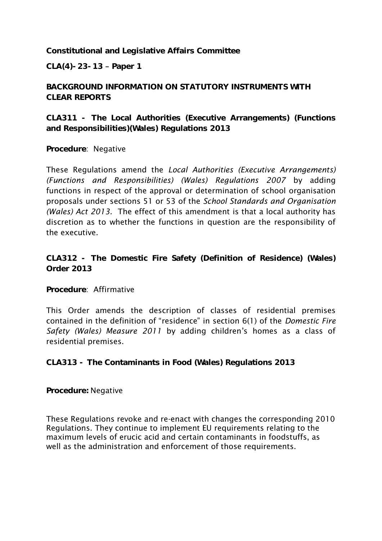**Constitutional and Legislative Affairs Committee**

**CLA(4)-23-13 Paper 1**

**BACKGROUND INFORMATION ON STATUTORY INSTRUMENTS WITH CLEAR REPORTS**

**CLA311 - The Local Authorities (Executive Arrangements) (Functions and Responsibilities)(Wales) Regulations 2013**

**Procedure**: Negative

These Regulations amend the *Local Authorities (Executive Arrangements) (Functions and Responsibilities) (Wales) Regulations 2007* by adding functions in respect of the approval or determination of school organisation proposals under sections 51 or 53 of the *School Standards and Organisation (Wales) Act 2013.* The effect of this amendment is that a local authority has discretion as to whether the functions in question are the responsibility of the executive.

**CLA312 - The Domestic Fire Safety (Definition of Residence) (Wales) Order 2013**

**Procedure**: Affirmative

This Order amends the description of classes of residential premises contained in the definition of "residence" in section 6(1) of the *Domestic Fire Safety (Wales) Measure 2011* by adding children's homes as a class of residential premises.

**CLA313 - The Contaminants in Food (Wales) Regulations 2013**

**Procedure:** Negative

These Regulations revoke and re-enact with changes the corresponding 2010 Regulations. They continue to implement EU requirements relating to the maximum levels of erucic acid and certain contaminants in foodstuffs, as well as the administration and enforcement of those requirements.